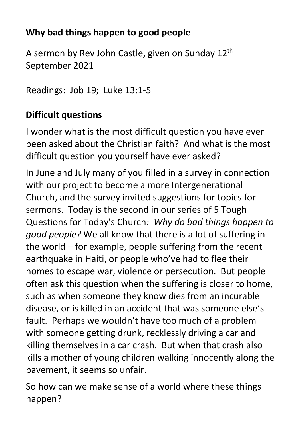# **Why bad things happen to good people**

A sermon by Rev John Castle, given on Sunday 12th September 2021

Readings: Job 19; Luke 13:1-5

# **Difficult questions**

I wonder what is the most difficult question you have ever been asked about the Christian faith? And what is the most difficult question you yourself have ever asked?

In June and July many of you filled in a survey in connection with our project to become a more Intergenerational Church, and the survey invited suggestions for topics for sermons. Today is the second in our series of 5 Tough Questions for Today's Church*: Why do bad things happen to good people?* We all know that there is a lot of suffering in the world – for example, people suffering from the recent earthquake in Haiti, or people who've had to flee their homes to escape war, violence or persecution. But people often ask this question when the suffering is closer to home, such as when someone they know dies from an incurable disease, or is killed in an accident that was someone else's fault. Perhaps we wouldn't have too much of a problem with someone getting drunk, recklessly driving a car and killing themselves in a car crash. But when that crash also kills a mother of young children walking innocently along the pavement, it seems so unfair.

So how can we make sense of a world where these things happen?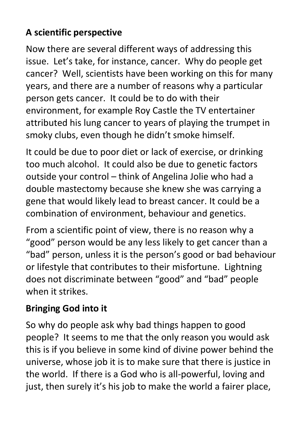# **A scientific perspective**

Now there are several different ways of addressing this issue. Let's take, for instance, cancer. Why do people get cancer? Well, scientists have been working on this for many years, and there are a number of reasons why a particular person gets cancer. It could be to do with their environment, for example Roy Castle the TV entertainer attributed his lung cancer to years of playing the trumpet in smoky clubs, even though he didn't smoke himself.

It could be due to poor diet or lack of exercise, or drinking too much alcohol. It could also be due to genetic factors outside your control – think of Angelina Jolie who had a double mastectomy because she knew she was carrying a gene that would likely lead to breast cancer. It could be a combination of environment, behaviour and genetics.

From a scientific point of view, there is no reason why a "good" person would be any less likely to get cancer than a "bad" person, unless it is the person's good or bad behaviour or lifestyle that contributes to their misfortune. Lightning does not discriminate between "good" and "bad" people when it strikes.

## **Bringing God into it**

So why do people ask why bad things happen to good people? It seems to me that the only reason you would ask this is if you believe in some kind of divine power behind the universe, whose job it is to make sure that there is justice in the world. If there is a God who is all-powerful, loving and just, then surely it's his job to make the world a fairer place,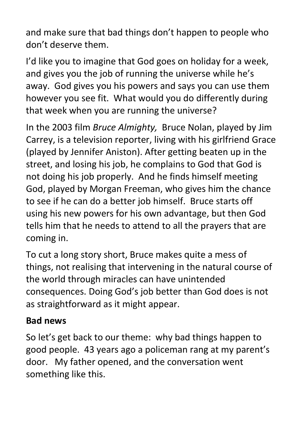and make sure that bad things don't happen to people who don't deserve them.

I'd like you to imagine that God goes on holiday for a week, and gives you the job of running the universe while he's away. God gives you his powers and says you can use them however you see fit. What would you do differently during that week when you are running the universe?

In the 2003 film *Bruce Almighty,* Bruce Nolan, played by Jim Carrey, is a television reporter, living with his girlfriend Grace (played by Jennifer Aniston). After getting beaten up in the street, and losing his job, he complains to God that God is not doing his job properly. And he finds himself meeting God, played by Morgan Freeman, who gives him the chance to see if he can do a better job himself. Bruce starts off using his new powers for his own advantage, but then God tells him that he needs to attend to all the prayers that are coming in.

To cut a long story short, Bruce makes quite a mess of things, not realising that intervening in the natural course of the world through miracles can have unintended consequences. Doing God's job better than God does is not as straightforward as it might appear.

## **Bad news**

So let's get back to our theme: why bad things happen to good people. 43 years ago a policeman rang at my parent's door. My father opened, and the conversation went something like this.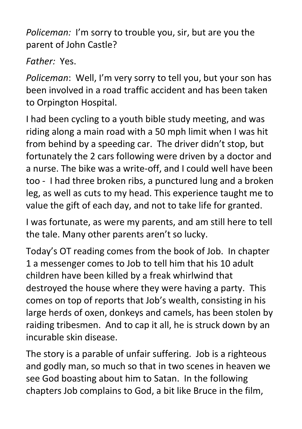*Policeman:* I'm sorry to trouble you, sir, but are you the parent of John Castle?

*Father:* Yes.

*Policeman*: Well, I'm very sorry to tell you, but your son has been involved in a road traffic accident and has been taken to Orpington Hospital.

I had been cycling to a youth bible study meeting, and was riding along a main road with a 50 mph limit when I was hit from behind by a speeding car. The driver didn't stop, but fortunately the 2 cars following were driven by a doctor and a nurse. The bike was a write-off, and I could well have been too - I had three broken ribs, a punctured lung and a broken leg, as well as cuts to my head. This experience taught me to value the gift of each day, and not to take life for granted.

I was fortunate, as were my parents, and am still here to tell the tale. Many other parents aren't so lucky.

Today's OT reading comes from the book of Job. In chapter 1 a messenger comes to Job to tell him that his 10 adult children have been killed by a freak whirlwind that destroyed the house where they were having a party. This comes on top of reports that Job's wealth, consisting in his large herds of oxen, donkeys and camels, has been stolen by raiding tribesmen. And to cap it all, he is struck down by an incurable skin disease.

The story is a parable of unfair suffering. Job is a righteous and godly man, so much so that in two scenes in heaven we see God boasting about him to Satan. In the following chapters Job complains to God, a bit like Bruce in the film,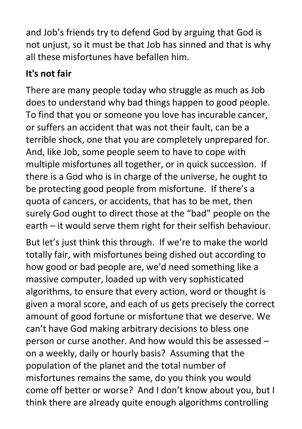and Job's friends try to defend God by arguing that God is not unjust, so it must be that Job has sinned and that is why all these misfortunes have befallen him.

# **It's not fair**

There are many people today who struggle as much as Job does to understand why bad things happen to good people. To find that you or someone you love has incurable cancer, or suffers an accident that was not their fault, can be a terrible shock, one that you are completely unprepared for. And, like Job, some people seem to have to cope with multiple misfortunes all together, or in quick succession. If there is a God who is in charge of the universe, he ought to be protecting good people from misfortune. If there's a quota of cancers, or accidents, that has to be met, then surely God ought to direct those at the "bad" people on the earth – it would serve them right for their selfish behaviour.

But let's just think this through. If we're to make the world totally fair, with misfortunes being dished out according to how good or bad people are, we'd need something like a massive computer, loaded up with very sophisticated algorithms, to ensure that every action, word or thought is given a moral score, and each of us gets precisely the correct amount of good fortune or misfortune that we deserve. We can't have God making arbitrary decisions to bless one person or curse another. And how would this be assessed – on a weekly, daily or hourly basis? Assuming that the population of the planet and the total number of misfortunes remains the same, do you think you would come off better or worse? And I don't know about you, but I think there are already quite enough algorithms controlling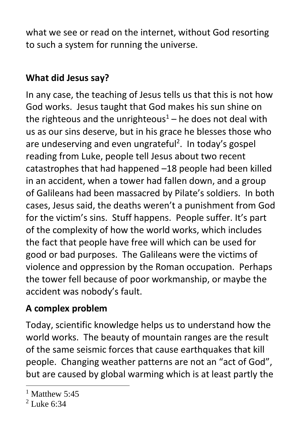what we see or read on the internet, without God resorting to such a system for running the universe.

# **What did Jesus say?**

In any case, the teaching of Jesus tells us that this is not how God works. Jesus taught that God makes his sun shine on the righteous and the unrighteous<sup>1</sup> – he does not deal with us as our sins deserve, but in his grace he blesses those who are undeserving and even ungrateful<sup>2</sup>. In today's gospel reading from Luke, people tell Jesus about two recent catastrophes that had happened –18 people had been killed in an accident, when a tower had fallen down, and a group of Galileans had been massacred by Pilate's soldiers. In both cases, Jesus said, the deaths weren't a punishment from God for the victim's sins. Stuff happens. People suffer. It's part of the complexity of how the world works, which includes the fact that people have free will which can be used for good or bad purposes. The Galileans were the victims of violence and oppression by the Roman occupation. Perhaps the tower fell because of poor workmanship, or maybe the accident was nobody's fault.

#### **A complex problem**

Today, scientific knowledge helps us to understand how the world works. The beauty of mountain ranges are the result of the same seismic forces that cause earthquakes that kill people. Changing weather patterns are not an "act of God", but are caused by global warming which is at least partly the

 $<sup>1</sup>$  Matthew 5:45</sup>

 $2$  Luke 6:34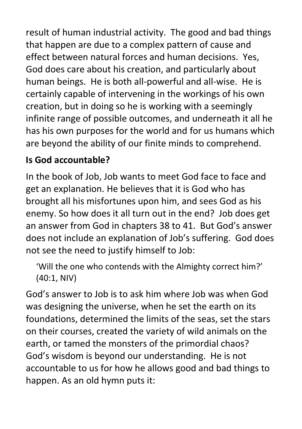result of human industrial activity. The good and bad things that happen are due to a complex pattern of cause and effect between natural forces and human decisions. Yes, God does care about his creation, and particularly about human beings. He is both all-powerful and all-wise. He is certainly capable of intervening in the workings of his own creation, but in doing so he is working with a seemingly infinite range of possible outcomes, and underneath it all he has his own purposes for the world and for us humans which are beyond the ability of our finite minds to comprehend.

## **Is God accountable?**

In the book of Job, Job wants to meet God face to face and get an explanation. He believes that it is God who has brought all his misfortunes upon him, and sees God as his enemy. So how does it all turn out in the end? Job does get an answer from God in chapters 38 to 41. But God's answer does not include an explanation of Job's suffering. God does not see the need to justify himself to Job:

'Will the one who contends with the Almighty correct him?' (40:1, NIV)

God's answer to Job is to ask him where Job was when God was designing the universe, when he set the earth on its foundations, determined the limits of the seas, set the stars on their courses, created the variety of wild animals on the earth, or tamed the monsters of the primordial chaos? God's wisdom is beyond our understanding. He is not accountable to us for how he allows good and bad things to happen. As an old hymn puts it: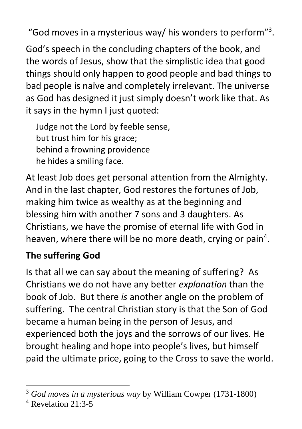"God moves in a mysterious way/ his wonders to perform"<sup>3</sup> .

God's speech in the concluding chapters of the book, and the words of Jesus, show that the simplistic idea that good things should only happen to good people and bad things to bad people is naïve and completely irrelevant. The universe as God has designed it just simply doesn't work like that. As it says in the hymn I just quoted:

Judge not the Lord by feeble sense, but trust him for his grace; behind a frowning providence he hides a smiling face.

At least Job does get personal attention from the Almighty. And in the last chapter, God restores the fortunes of Job, making him twice as wealthy as at the beginning and blessing him with another 7 sons and 3 daughters. As Christians, we have the promise of eternal life with God in heaven, where there will be no more death, crying or pain<sup>4</sup>.

## **The suffering God**

Is that all we can say about the meaning of suffering? As Christians we do not have any better *explanation* than the book of Job. But there *is* another angle on the problem of suffering. The central Christian story is that the Son of God became a human being in the person of Jesus, and experienced both the joys and the sorrows of our lives. He brought healing and hope into people's lives, but himself paid the ultimate price, going to the Cross to save the world.

<sup>3</sup> *God moves in a mysterious way* by William Cowper (1731-1800)

<sup>4</sup> Revelation 21:3-5